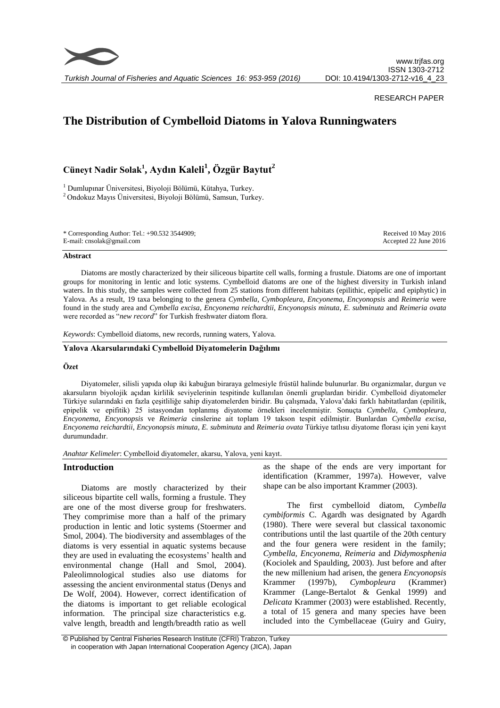

*Turkish Journal of Fisheries and Aquatic Sciences 16: 953-959 (2016)*

# RESEARCH PAPER

# **The Distribution of Cymbelloid Diatoms in Yalova Runningwaters**

**Cüneyt Nadir Solak<sup>1</sup> , Aydın Kaleli<sup>1</sup> , Özgür Baytut<sup>2</sup>**

<sup>1</sup> Dumlupınar Üniversitesi, Biyoloji Bölümü, Kütahya, Turkey. <sup>2</sup> Ondokuz Mayıs Üniversitesi, Biyoloji Bölümü, Samsun, Turkey.

\* Corresponding Author: Tel.: +90.532 3544909; E-mail: cnsolak@gmail.com

Received 10 May 2016 Accepted 22 June 2016

#### **Abstract**

Diatoms are mostly characterized by their siliceous bipartite cell walls, forming a frustule. Diatoms are one of important groups for monitoring in lentic and lotic systems. Cymbelloid diatoms are one of the highest diversity in Turkish inland waters. In this study, the samples were collected from 25 stations from different habitats (epilithic, epipelic and epiphytic) in Yalova. As a result, 19 taxa belonging to the genera *Cymbella, Cymbopleura, Encyonema, Encyonopsis* and *Reimeria* were found in the study area and *Cymbella excisa*, *Encyonema reichardtii*, *Encyonopsis minuta*, *E. subminuta* and *Reimeria ovata* were recorded as "*new record*" for Turkish freshwater diatom flora.

*Keywords*: Cymbelloid diatoms, new records, running waters, Yalova.

# **Yalova Akarsularındaki Cymbelloid Diyatomelerin Dağılımı**

# **Özet**

Diyatomeler, silisli yapıda olup iki kabuğun biraraya gelmesiyle früstül halinde bulunurlar. Bu organizmalar, durgun ve akarsuların biyolojik açıdan kirlilik seviyelerinin tespitinde kullanılan önemli gruplardan biridir. Cymbelloid diyatomeler Türkiye sularındaki en fazla çeşitliliğe sahip diyatomelerden biridir. Bu çalışmada, Yalova'daki farklı habitatlardan (epilitik, epipelik ve epifitik) 25 istasyondan toplanmış diyatome örnekleri incelenmiştir. Sonuçta *Cymbella, Cymbopleura, Encyonema, Encyonopsis* ve *Reimeria* cinslerine ait toplam 19 takson tespit edilmiştir. Bunlardan *Cymbella excisa*, *Encyonema reichardtii*, *Encyonopsis minuta*, *E. subminuta* and *Reimeria ovata* Türkiye tatlısu diyatome florası için yeni kayıt durumundadır.

*Anahtar Kelimeler*: Cymbelloid diyatomeler, akarsu, Yalova, yeni kayıt.

### **Introduction**

Diatoms are mostly characterized by their siliceous bipartite cell walls, forming a frustule. They are one of the most diverse group for freshwaters. They comprimise more than a half of the primary production in lentic and lotic systems (Stoermer and Smol, 2004). The biodiversity and assemblages of the diatoms is very essential in aquatic systems because they are used in evaluating the ecosystems' health and environmental change (Hall and Smol, 2004). Paleolimnological studies also use diatoms for assessing the ancient environmental status (Denys and De Wolf, 2004). However, correct identification of the diatoms is important to get reliable ecological information. The principal size characteristics e.g. valve length, breadth and length/breadth ratio as well as the shape of the ends are very important for identification (Krammer, 1997a). However, valve shape can be also important Krammer (2003).

The first cymbelloid diatom, *Cymbella cymbiformis* C. Agardh was designated by Agardh (1980). There were several but classical taxonomic contributions until the last quartile of the 20th century and the four genera were resident in the family; *Cymbella, Encyonema, Reimeria* and *Didymosphenia* (Kociolek and Spaulding, 2003). Just before and after the new millenium had arisen, the genera *Encyonopsis*  Krammer (1997b), *Cymbopleura* (Krammer) Krammer (Lange-Bertalot & Genkal 1999) and *Delicata* Krammer (2003) were established. Recently, a total of 15 genera and many species have been included into the Cymbellaceae (Guiry and Guiry,

<sup>©</sup> Published by Central Fisheries Research Institute (CFRI) Trabzon, Turkey in cooperation with Japan International Cooperation Agency (JICA), Japan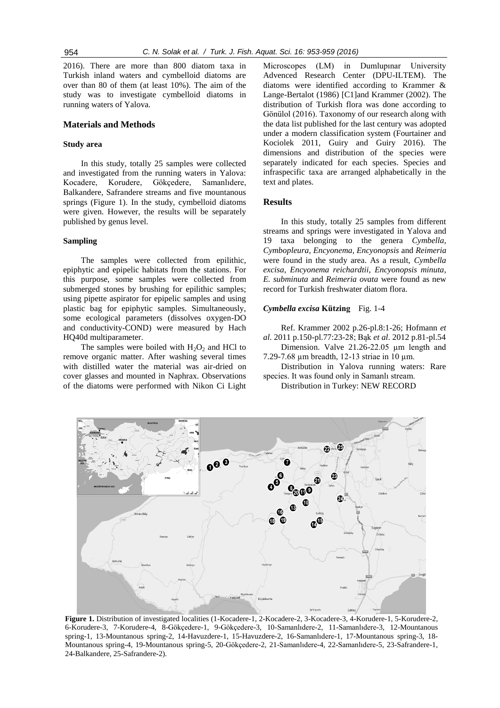2016). There are more than 800 diatom taxa in Turkish inland waters and cymbelloid diatoms are over than 80 of them (at least 10%). The aim of the study was to investigate cymbelloid diatoms in running waters of Yalova.

### **Materials and Methods**

### **Study area**

In this study, totally 25 samples were collected and investigated from the running waters in Yalova: Kocadere, Korudere, Gökçedere, Samanlıdere, Balkandere, Safrandere streams and five mountanous springs (Figure 1). In the study, cymbelloid diatoms were given. However, the results will be separately published by genus level.

### **Sampling**

The samples were collected from epilithic, epiphytic and epipelic habitats from the stations. For this purpose, some samples were collected from submerged stones by brushing for epilithic samples; using pipette aspirator for epipelic samples and using plastic bag for epiphytic samples. Simultaneously, some ecological parameters (dissolves oxygen-DO and conductivity-COND) were measured by Hach HQ40d multiparameter.

The samples were boiled with  $H_2O_2$  and HCl to remove organic matter. After washing several times with distilled water the material was air-dried on cover glasses and mounted in Naphrax. Observations of the diatoms were performed with Nikon Ci Light Microscopes (LM) in Dumlupınar University Advenced Research Center (DPU-ILTEM). The diatoms were identified according to Krammer & Lange-Bertalot (1986) [\[C1\]a](../orjinal/0423-2366%20E_ing/EV.doc#_msocom_1)nd Krammer (2002). The distribution of Turkish flora was done according to Gönülol (2016). Taxonomy of our research along with the data list published for the last century was adopted under a modern classification system (Fourtainer and Kociolek 2011, Guiry and Guiry 2016). The dimensions and distribution of the species were separately indicated for each species. Species and infraspecific taxa are arranged alphabetically in the text and plates.

# **Results**

In this study, totally 25 samples from different streams and springs were investigated in Yalova and 19 taxa belonging to the genera *Cymbella, Cymbopleura, Encyonema, Encyonopsis* and *Reimeria* were found in the study area. As a result, *Cymbella excisa*, *Encyonema reichardtii*, *Encyonopsis minuta*, *E. subminuta* and *Reimeria ovata* were found as new record for Turkish freshwater diatom flora.

# *Cymbella excisa* **Kützing** Fig. 1-4

Ref. Krammer 2002 p.26-pl.8:1-26; Hofmann *et al*. 2011 p.150-pl.77:23-28; Bąk *et al*. 2012 p.81-pl.54

Dimension. Valve 21.26-22.05 µm length and 7.29-7.68 um breadth, 12-13 striae in 10 um.

Distribution in Yalova running waters: Rare species. It was found only in Samanlı stream.

Distribution in Turkey: NEW RECORD



**Figure 1.** Distribution of investigated localities (1-Kocadere-1, 2-Kocadere-2, 3-Kocadere-3, 4-Korudere-1, 5-Korudere-2, 6-Korudere-3, 7-Korudere-4, 8-Gökçedere-1, 9-Gökçedere-3, 10-Samanlıdere-2, 11-Samanlıdere-3, 12-Mountanous spring-1, 13-Mountanous spring-2, 14-Havuzdere-1, 15-Havuzdere-2, 16-Samanlıdere-1, 17-Mountanous spring-3, 18- Mountanous spring-4, 19-Mountanous spring-5, 20-Gökçedere-2, 21-Samanlıdere-4, 22-Samanlıdere-5, 23-Safrandere-1, 24-Balkandere, 25-Safrandere-2).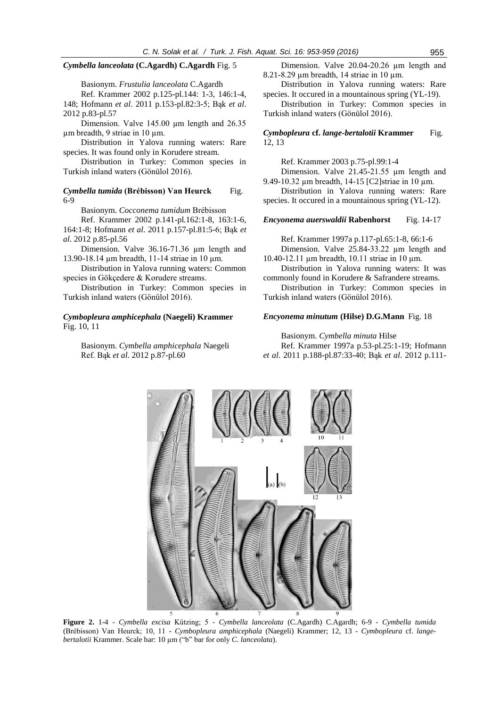### *Cymbella lanceolata* **(C.Agardh) C.Agardh** Fig. 5

Basionym. *Frustulia lanceolata* C.Agardh

Ref. Krammer 2002 p.125-pl.144: 1-3, 146:1-4, 148; Hofmann *et al*. 2011 p.153-pl.82:3-5; Bąk *et al*. 2012 p.83-pl.57

Dimension. Valve 145.00 µm length and 26.35 µm breadth, 9 striae in 10 µm.

Distribution in Yalova running waters: Rare species. It was found only in Korudere stream.

Distribution in Turkey: Common species in Turkish inland waters (Gönülol 2016).

### *Cymbella tumida* (Brébisson) Van Heurck Fig. 6-9

Basionym. *Cocconema tumidum* Brébisson

Ref. Krammer 2002 p.141-pl.162:1-8, 163:1-6, 164:1-8; Hofmann *et al*. 2011 p.157-pl.81:5-6; Bąk *et al*. 2012 p.85-pl.56

Dimension. Valve 36.16-71.36 µm length and 13.90-18.14 µm breadth, 11-14 striae in 10 µm.

Distribution in Yalova running waters: Common species in Gökçedere & Korudere streams.

Distribution in Turkey: Common species in Turkish inland waters (Gönülol 2016).

# *Cymbopleura amphicephala* **(Naegeli) Krammer** Fig. 10, 11

Basionym. *Cymbella amphicephala* Naegeli Ref. Bąk *et al*. 2012 p.87-pl.60

Dimension. Valve 20.04-20.26 µm length and 8.21-8.29 µm breadth, 14 striae in 10 µm.

Distribution in Yalova running waters: Rare species. It occured in a mountainous spring (YL-19).

Distribution in Turkey: Common species in Turkish inland waters (Gönülol 2016).

# *Cymbopleura* **cf.** *lange-bertalotii* **Krammer** Fig. 12, 13

Ref. Krammer 2003 p.75-pl.99:1-4

Dimension. Valve 21.45-21.55 µm length and 9.49-10.32 µm breadth, 14-15 [\[C2\]s](../orjinal/0423-2366%20E_ing/EV.doc#_msocom_2)triae in 10 µm.

Distribution in Yalova running waters: Rare species. It occured in a mountainous spring (YL-12).

### *Encyonema auerswaldii* **Rabenhorst** Fig. 14-17

Ref. Krammer 1997a p.117-pl.65:1-8, 66:1-6

Dimension. Valve 25.84-33.22 µm length and 10.40-12.11 µm breadth, 10.11 striae in 10 µm.

Distribution in Yalova running waters: It was commonly found in Korudere & Safrandere streams.

Distribution in Turkey: Common species in Turkish inland waters (Gönülol 2016).

# *Encyonema minutum* **(Hilse) D.G.Mann** Fig. 18

Basionym. *Cymbella minuta* Hilse Ref. Krammer 1997a p.53-pl.25:1-19; Hofmann *et al*. 2011 p.188-pl.87:33-40; Bąk *et al*. 2012 p.111-



**Figure 2.** 1-4 - *Cymbella excisa* Kützing; 5 - *Cymbella lanceolata* (C.Agardh) C.Agardh; 6-9 - *Cymbella tumida* (Brébisson) Van Heurck; 10, 11 - *Cymbopleura amphicephala* (Naegeli) Krammer; 12, 13 - *Cymbopleura* cf. *langebertalotii* Krammer. Scale bar: 10 µm ("b" bar for only *C. lanceolata*).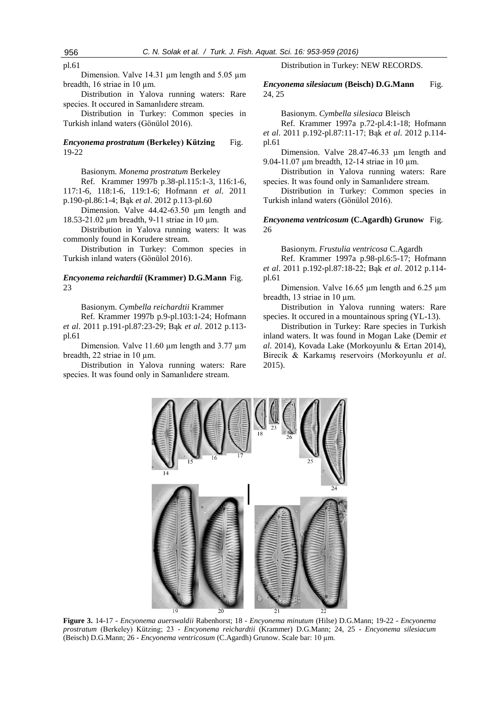pl.61

Dimension. Valve 14.31  $\mu$ m length and 5.05  $\mu$ m breadth, 16 striae in 10 µm.

Distribution in Yalova running waters: Rare species. It occured in Samanlıdere stream.

Distribution in Turkey: Common species in Turkish inland waters (Gönülol 2016).

# *Encyonema prostratum* **(Berkeley) Kützing** Fig. 19-22

Basionym. *Monema prostratum* Berkeley

Ref. Krammer 1997b p.38-pl.115:1-3, 116:1-6, 117:1-6, 118:1-6, 119:1-6; Hofmann *et al*. 2011 p.190-pl.86:1-4; Bąk *et al*. 2012 p.113-pl.60

Dimension. Valve 44.42-63.50 um length and 18.53-21.02 µm breadth, 9-11 striae in 10 µm.

Distribution in Yalova running waters: It was commonly found in Korudere stream.

Distribution in Turkey: Common species in Turkish inland waters (Gönülol 2016).

### *Encyonema reichardtii* **(Krammer) D.G.Mann** Fig. 23

Basionym. *Cymbella reichardtii* Krammer

Ref. Krammer 1997b p.9-pl.103:1-24; Hofmann *et al*. 2011 p.191-pl.87:23-29; Bąk *et al*. 2012 p.113 pl.61

Dimension. Valve 11.60  $\mu$ m length and 3.77  $\mu$ m breadth, 22 striae in 10 um.

Distribution in Yalova running waters: Rare species. It was found only in Samanlıdere stream.

Distribution in Turkey: NEW RECORDS.

*Encyonema silesiacum* **(Beisch) D.G.Mann** Fig. 24, 25

Basionym. *Cymbella silesiaca* Bleisch

Ref. Krammer 1997a p.72-pl.4:1-18; Hofmann *et al*. 2011 p.192-pl.87:11-17; Bąk *et al*. 2012 p.114 pl.61

Dimension. Valve 28.47-46.33 µm length and 9.04-11.07 µm breadth, 12-14 striae in 10 µm.

Distribution in Yalova running waters: Rare species. It was found only in Samanlıdere stream.

Distribution in Turkey: Common species in Turkish inland waters (Gönülol 2016).

# *Encyonema ventricosum* **(C.Agardh) Grunow** Fig. 26

Basionym. *Frustulia ventricosa* C.Agardh

Ref. Krammer 1997a p.98-pl.6:5-17; Hofmann *et al*. 2011 p.192-pl.87:18-22; Bąk *et al*. 2012 p.114 pl.61

Dimension. Valve 16.65 µm length and 6.25 µm breadth, 13 striae in 10 um.

Distribution in Yalova running waters: Rare species. It occured in a mountainous spring (YL-13).

Distribution in Turkey: Rare species in Turkish inland waters. It was found in Mogan Lake (Demir *et al*. 2014), Kovada Lake (Morkoyunlu & Ertan 2014), Birecik & Karkamış reservoirs (Morkoyunlu *et al*. 2015).



**Figure 3.** 14-17 - *Encyonema auerswaldii* Rabenhorst; 18 - *Encyonema minutum* (Hilse) D.G.Mann; 19-22 - *Encyonema prostratum* (Berkeley) Kützing; 23 - *Encyonema reichardtii* (Krammer) D.G.Mann; 24, 25 - *Encyonema silesiacum* (Beisch) D.G.Mann; 26 - *Encyonema ventricosum* (C.Agardh) Grunow. Scale bar: 10 µm.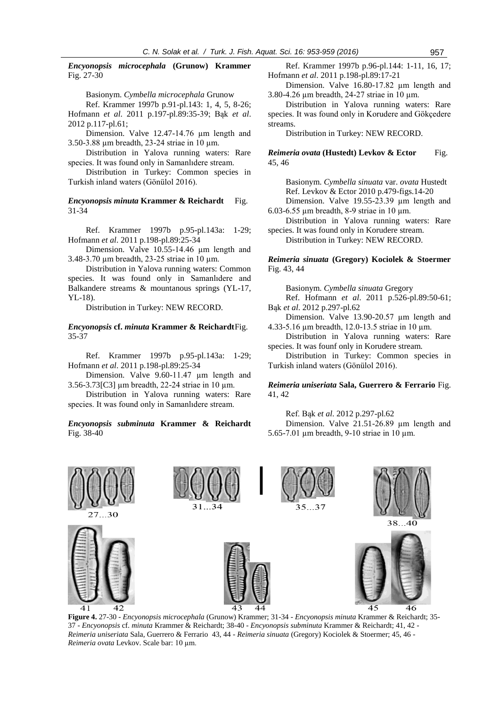*Encyonopsis microcephala* **(Grunow) Krammer** Fig. 27-30

Basionym. *Cymbella microcephala* Grunow

Ref. Krammer 1997b p.91-pl.143: 1, 4, 5, 8-26; Hofmann *et al*. 2011 p.197-pl.89:35-39; Bąk *et al*. 2012 p.117-pl.61;

Dimension. Valve 12.47-14.76 µm length and 3.50-3.88 µm breadth, 23-24 striae in 10 µm.

Distribution in Yalova running waters: Rare species. It was found only in Samanlıdere stream.

Distribution in Turkey: Common species in Turkish inland waters (Gönülol 2016).

*Encyonopsis minuta* **Krammer & Reichardt** Fig. 31-34

Ref. Krammer 1997b p.95-pl.143a: 1-29; Hofmann *et al*. 2011 p.198-pl.89:25-34

Dimension. Valve 10.55-14.46 µm length and 3.48-3.70 µm breadth, 23-25 striae in 10 µm.

Distribution in Yalova running waters: Common species. It was found only in Samanlıdere and Balkandere streams & mountanous springs (YL-17, YL-18).

Distribution in Turkey: NEW RECORD.

*Encyonopsis* **cf.** *minuta* **Krammer & Reichardt**Fig. 35-37

Ref. Krammer 1997b p.95-pl.143a: 1-29; Hofmann *et al*. 2011 p.198-pl.89:25-34

Dimension. Valve 9.60-11.47 µm length and 3.56-3.7[3\[C3\]](../orjinal/0423-2366%20E_ing/EV.doc#_msocom_3) µm breadth, 22-24 striae in 10 µm.

Distribution in Yalova running waters: Rare species. It was found only in Samanlıdere stream.

### *Encyonopsis subminuta* **Krammer & Reichardt** Fig. 38-40

Ref. Krammer 1997b p.96-pl.144: 1-11, 16, 17; Hofmann *et al*. 2011 p.198-pl.89:17-21

Dimension. Valve 16.80-17.82 µm length and 3.80-4.26 µm breadth, 24-27 striae in 10 µm.

Distribution in Yalova running waters: Rare species. It was found only in Korudere and Gökçedere streams.

Distribution in Turkey: NEW RECORD.

*Reimeria ovata* (Hustedt) Levkov & Ector Fig. 45, 46

Basionym. *Cymbella sinuata* var. *ovata* Hustedt Ref. Levkov & Ector 2010 p.479-figs.14-20 Dimension. Valve 19.55-23.39 µm length and

6.03-6.55 µm breadth, 8-9 striae in 10 µm.

Distribution in Yalova running waters: Rare species. It was found only in Korudere stream.

Distribution in Turkey: NEW RECORD.

*Reimeria sinuata* **(Gregory) Kociolek & Stoermer** Fig. 43, 44

Basionym. *Cymbella sinuata* Gregory

Ref. Hofmann *et al*. 2011 p.526-pl.89:50-61; Bąk *et al*. 2012 p.297-pl.62

Dimension. Valve 13.90-20.57 µm length and 4.33-5.16 µm breadth, 12.0-13.5 striae in 10 µm.

Distribution in Yalova running waters: Rare species. It was founf only in Korudere stream.

Distribution in Turkey: Common species in Turkish inland waters (Gönülol 2016).

*Reimeria uniseriata* **Sala, Guerrero & Ferrario** Fig. 41, 42

Ref. Bąk *et al*. 2012 p.297-pl.62

Dimension. Valve 21.51-26.89 µm length and 5.65-7.01 µm breadth, 9-10 striae in 10 µm.



**Figure 4.** 27-30 - *Encyonopsis microcephala* (Grunow) Krammer; 31-34 - *Encyonopsis minuta* Krammer & Reichardt; 35- 37 - *Encyonopsis* cf. *minuta* Krammer & Reichardt; 38-40 - *Encyonopsis subminuta* Krammer & Reichardt; 41, 42 - *Reimeria uniseriata* Sala, Guerrero & Ferrario 43, 44 - *Reimeria sinuata* (Gregory) Kociolek & Stoermer; 45, 46 - *Reimeria ovata* Levkov. Scale bar: 10 µm.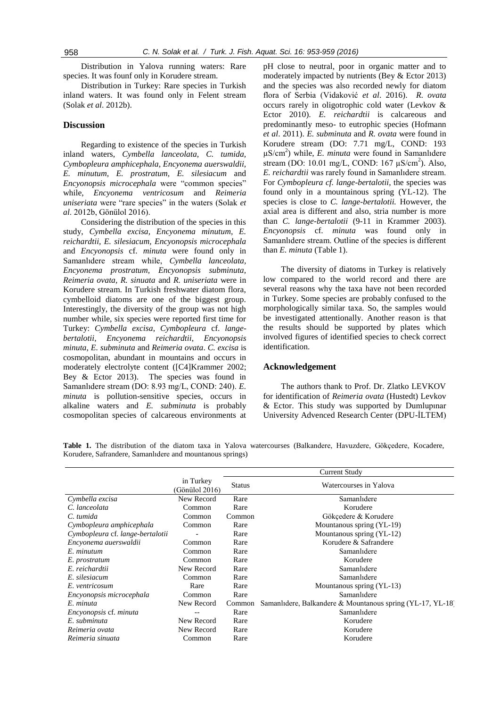Distribution in Yalova running waters: Rare species. It was founf only in Korudere stream.

Distribution in Turkey: Rare species in Turkish inland waters. It was found only in Felent stream (Solak *et al*. 2012b).

# **Discussion**

Regarding to existence of the species in Turkish inland waters, *Cymbella lanceolata, C. tumida, Cymbopleura amphicephala, Encyonema auerswaldii, E. minutum, E. prostratum, E. silesiacum* and *Encyonopsis microcephala* were "common species" while, *Encyonema ventricosum* and *Reimeria uniseriata* were "rare species" in the waters (Solak *et al*. 2012b, Gönülol 2016).

Considering the distribution of the species in this study, *Cymbella excisa, Encyonema minutum, E. reichardtii, E. silesiacum, Encyonopsis microcephala* and *Encyonopsis* cf. *minuta* were found only in Samanlıdere stream while, *Cymbella lanceolata, Encyonema prostratum, Encyonopsis subminuta, Reimeria ovata, R. sinuata* and *R. uniseriata* were in Korudere stream. In Turkish freshwater diatom flora, cymbelloid diatoms are one of the biggest group. Interestingly, the diversity of the group was not high number while, six species were reported first time for Turkey: *Cymbella excisa*, *Cymbopleura* cf. *langebertalotii*, *Encyonema reichardtii*, *Encyonopsis minuta*, *E. subminuta* and *Reimeria ovata*. *C. excisa* is cosmopolitan, abundant in mountains and occurs in moderately electrolyte content [\(\[C4\]K](../orjinal/0423-2366%20E_ing/EV.doc#_msocom_4)rammer 2002; Bey & Ector 2013). The species was found in Samanlıdere stream (DO: 8.93 mg/L, COND: 240). *E. minuta* is pollution-sensitive species, occurs in alkaline waters and *E. subminuta* is probably cosmopolitan species of calcareous environments at

pH close to neutral, poor in organic matter and to moderately impacted by nutrients (Bey & Ector 2013) and the species was also recorded newly for diatom flora of Serbia (Vidaković *et al*. 2016). *R. ovata* occurs rarely in oligotrophic cold water (Levkov & Ector 2010). *E. reichardtii* is calcareous and predominantly meso- to eutrophic species (Hofmann *et al*. 2011). *E. subminuta* and *R. ovata* were found in Korudere stream (DO: 7.71 mg/L, COND: 193 µS/cm<sup>2</sup> ) while, *E. minuta* were found in Samanlıdere stream (DO: 10.01 mg/L, COND:  $167 \mu\text{S/cm}^2$ ). Also, *E. reichardtii* was rarely found in Samanlıdere stream. For *Cymbopleura cf. lange-bertalotii*, the species was found only in a mountainous spring (YL-12). The species is close to *C. lange-bertalotii.* However, the axial area is different and also, stria number is more than *C. lange-bertalotii* (9-11 in Krammer 2003). *Encyonopsis* cf. *minuta* was found only in Samanlıdere stream. Outline of the species is different than *E. minuta* (Table 1).

The diversity of diatoms in Turkey is relatively low compared to the world record and there are several reasons why the taxa have not been recorded in Turkey. Some species are probably confused to the morphologically similar taxa. So, the samples would be investigated attentionally. Another reason is that the results should be supported by plates which involved figures of identified species to check correct identification.

#### **Acknowledgement**

The authors thank to Prof. Dr. Zlatko LEVKOV for identification of *Reimeria ovata* (Hustedt) Levkov & Ector. This study was supported by Dumlupınar University Advenced Research Center (DPU-İLTEM)

**Table 1.** The distribution of the diatom taxa in Yalova watercourses (Balkandere, Havuzdere, Gökçedere, Kocadere, Korudere, Safrandere, Samanlıdere and mountanous springs)

|                                  |                             |               | <b>Current Study</b>                                       |
|----------------------------------|-----------------------------|---------------|------------------------------------------------------------|
|                                  | in Turkey<br>(Gönülol 2016) | <b>Status</b> | Watercourses in Yalova                                     |
| Cymbella excisa                  | New Record                  | Rare          | Samanlidere                                                |
| C. lanceolata                    | Common                      | Rare          | Korudere                                                   |
| C. tumida                        | Common                      | Common        | Gökçedere & Korudere                                       |
| Cymbopleura amphicephala         | Common                      | Rare          | Mountanous spring (YL-19)                                  |
| Cymbopleura cf. lange-bertalotii |                             | Rare          | Mountanous spring (YL-12)                                  |
| Encyonema auerswaldii            | Common                      | Rare          | Korudere & Safrandere                                      |
| E. minutum                       | Common                      | Rare          | Samanlidere                                                |
| E. prostratum                    | Common                      | Rare          | Korudere                                                   |
| E. reichardtii                   | New Record                  | Rare          | Samanlıdere                                                |
| E. silesiacum                    | Common                      | Rare          | Samanlıdere                                                |
| E. ventricosum                   | Rare                        | Rare          | Mountanous spring (YL-13)                                  |
| Encyonopsis microcephala         | Common                      | Rare          | Samanlidere                                                |
| E. minuta                        | New Record                  | Common        | Samanlidere, Balkandere & Mountanous spring (YL-17, YL-18) |
| Encyonopsis cf. minuta           |                             | Rare          | Samanlidere                                                |
| E. subminuta                     | New Record                  | Rare          | Korudere                                                   |
| Reimeria ovata                   | New Record                  | Rare          | Korudere                                                   |
| Reimeria sinuata                 | Common                      | Rare          | Korudere                                                   |